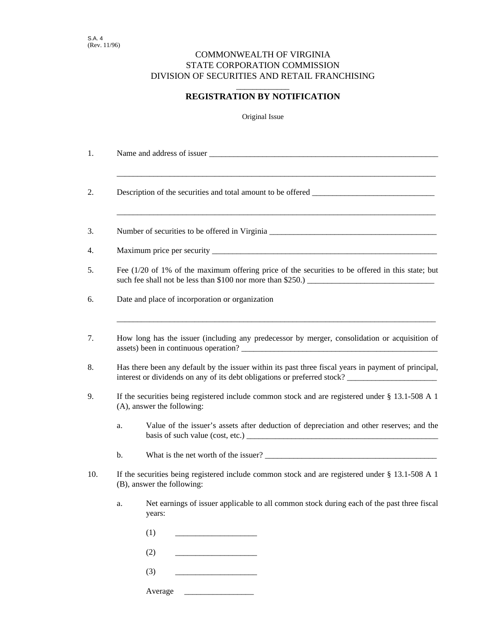## COMMONWEALTH OF VIRGINIA STATE CORPORATION COMMISSION DIVISION OF SECURITIES AND RETAIL FRANCHISING

## \_\_\_\_\_\_\_\_\_\_\_\_\_ **REGISTRATION BY NOTIFICATION**

Original Issue

| 1.  |                                                                                                                                  |                                                                                                                                                                                  |  |
|-----|----------------------------------------------------------------------------------------------------------------------------------|----------------------------------------------------------------------------------------------------------------------------------------------------------------------------------|--|
| 2.  |                                                                                                                                  |                                                                                                                                                                                  |  |
| 3.  |                                                                                                                                  | Number of securities to be offered in Virginia __________________________________                                                                                                |  |
| 4.  |                                                                                                                                  |                                                                                                                                                                                  |  |
| 5.  |                                                                                                                                  | Fee $(1/20)$ of 1% of the maximum offering price of the securities to be offered in this state; but                                                                              |  |
| 6.  |                                                                                                                                  | Date and place of incorporation or organization                                                                                                                                  |  |
| 7.  |                                                                                                                                  | How long has the issuer (including any predecessor by merger, consolidation or acquisition of<br>assets) been in continuous operation?                                           |  |
| 8.  |                                                                                                                                  | Has there been any default by the issuer within its past three fiscal years in payment of principal,<br>interest or dividends on any of its debt obligations or preferred stock? |  |
| 9.  | If the securities being registered include common stock and are registered under $\S$ 13.1-508 A 1<br>(A), answer the following: |                                                                                                                                                                                  |  |
|     | a.                                                                                                                               | Value of the issuer's assets after deduction of depreciation and other reserves; and the                                                                                         |  |
|     | b.                                                                                                                               |                                                                                                                                                                                  |  |
| 10. | If the securities being registered include common stock and are registered under § 13.1-508 A 1<br>(B), answer the following:    |                                                                                                                                                                                  |  |
|     | a.                                                                                                                               | Net earnings of issuer applicable to all common stock during each of the past three fiscal<br>years:                                                                             |  |
|     |                                                                                                                                  | (1)                                                                                                                                                                              |  |
|     |                                                                                                                                  | (2)                                                                                                                                                                              |  |
|     |                                                                                                                                  | (3)                                                                                                                                                                              |  |
|     |                                                                                                                                  | Average                                                                                                                                                                          |  |